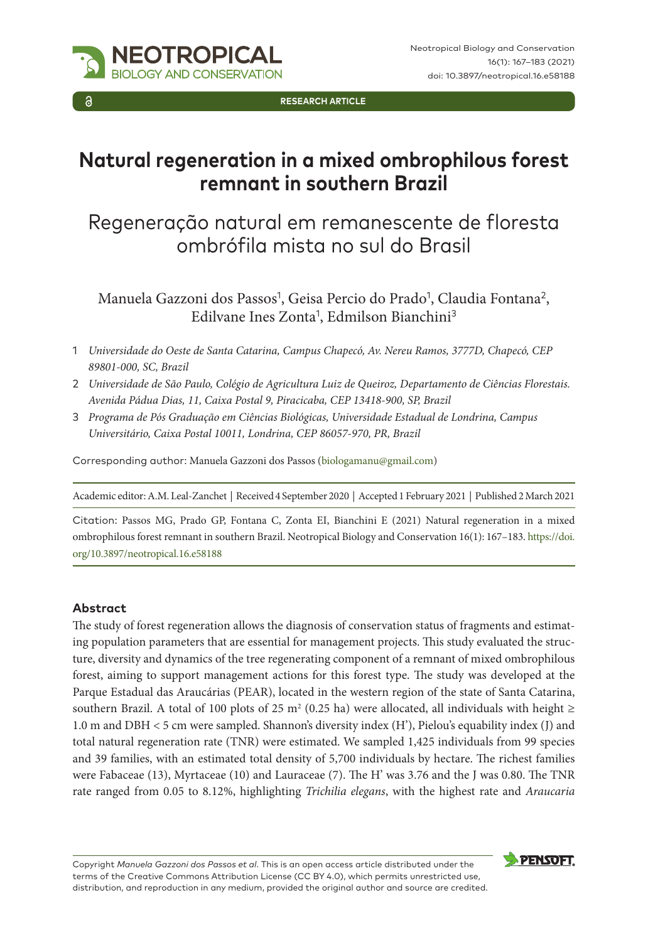**RESEARCH ARTICLE**

# **Natural regeneration in a mixed ombrophilous forest remnant in southern Brazil**

## Regeneração natural em remanescente de floresta ombrófila mista no sul do Brasil

Manuela Gazzoni dos Passos<sup>1</sup>, Geisa Percio do Prado<sup>1</sup>, Claudia Fontana<sup>2</sup>, Edilvane Ines Zonta<sup>1</sup>, Edmilson Bianchini<sup>3</sup>

- 1 *Universidade do Oeste de Santa Catarina, Campus Chapecó, Av. Nereu Ramos, 3777D, Chapecó, CEP 89801-000, SC, Brazil*
- 2 *Universidade de São Paulo, Colégio de Agricultura Luiz de Queiroz, Departamento de Ciências Florestais. Avenida Pádua Dias, 11, Caixa Postal 9, Piracicaba, CEP 13418-900, SP, Brazil*
- 3 *Programa de Pós Graduação em Ciências Biológicas, Universidade Estadual de Londrina, Campus Universitário, Caixa Postal 10011, Londrina, CEP 86057-970, PR, Brazil*

Corresponding author: Manuela Gazzoni dos Passos [\(biologamanu@gmail.com](mailto:biologamanu@gmail.com))

Academic editor: A.M. Leal-Zanchet | Received 4 September 2020 | Accepted 1 February 2021 | Published 2 March 2021

Citation: Passos MG, Prado GP, Fontana C, Zonta EI, Bianchini E (2021) Natural regeneration in a mixed ombrophilous forest remnant in southern Brazil. Neotropical Biology and Conservation 16(1): 167–183. [https://doi.](https://doi.org/10.3897/neotropical.16.e58188) [org/10.3897/neotropical.16.e58188](https://doi.org/10.3897/neotropical.16.e58188)

#### **Abstract**

The study of forest regeneration allows the diagnosis of conservation status of fragments and estimating population parameters that are essential for management projects. This study evaluated the structure, diversity and dynamics of the tree regenerating component of a remnant of mixed ombrophilous forest, aiming to support management actions for this forest type. The study was developed at the Parque Estadual das Araucárias (PEAR), located in the western region of the state of Santa Catarina, southern Brazil. A total of 100 plots of 25 m<sup>2</sup> (0.25 ha) were allocated, all individuals with height  $\ge$ 1.0 m and DBH < 5 cm were sampled. Shannon's diversity index (H'), Pielou's equability index (J) and total natural regeneration rate (TNR) were estimated. We sampled 1,425 individuals from 99 species and 39 families, with an estimated total density of 5,700 individuals by hectare. The richest families were Fabaceae (13), Myrtaceae (10) and Lauraceae (7). The H' was 3.76 and the J was 0.80. The TNR rate ranged from 0.05 to 8.12%, highlighting *Trichilia elegans*, with the highest rate and *Araucaria* 

Copyright *Manuela Gazzoni dos Passos et al*. This is an open access article distributed under the terms of the [Creative Commons Attribution License \(CC BY 4.0\)](http://creativecommons.org/licenses/by/4.0/), which permits unrestricted use, distribution, and reproduction in any medium, provided the original author and source are credited.

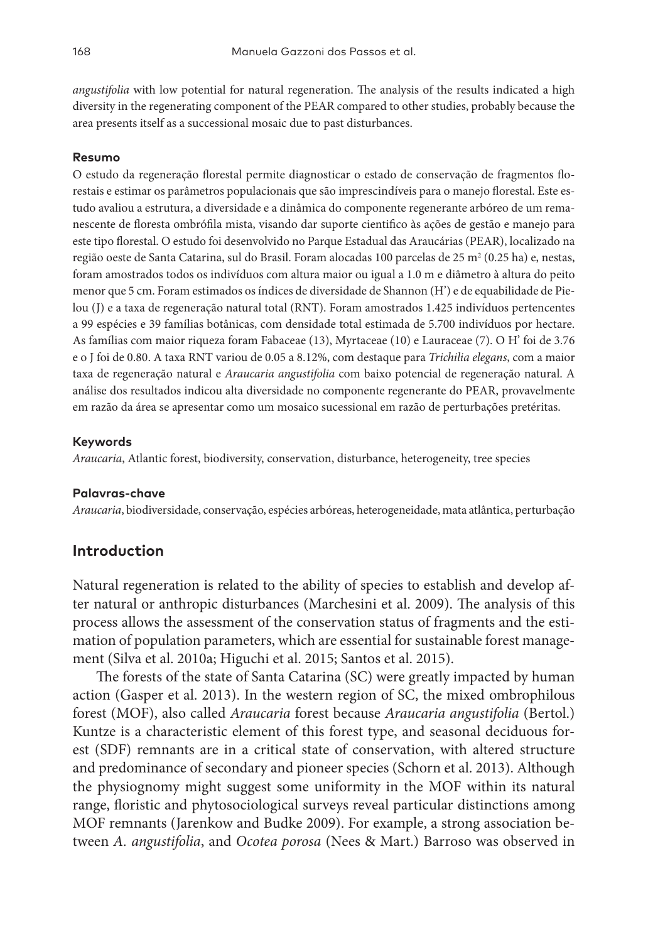*angustifolia* with low potential for natural regeneration. The analysis of the results indicated a high diversity in the regenerating component of the PEAR compared to other studies, probably because the area presents itself as a successional mosaic due to past disturbances.

#### **Resumo**

O estudo da regeneração florestal permite diagnosticar o estado de conservação de fragmentos florestais e estimar os parâmetros populacionais que são imprescindíveis para o manejo florestal. Este estudo avaliou a estrutura, a diversidade e a dinâmica do componente regenerante arbóreo de um remanescente de floresta ombrófila mista, visando dar suporte cientifico às ações de gestão e manejo para este tipo florestal. O estudo foi desenvolvido no Parque Estadual das Araucárias (PEAR), localizado na região oeste de Santa Catarina, sul do Brasil. Foram alocadas 100 parcelas de 25 m² (0.25 ha) e, nestas, foram amostrados todos os indivíduos com altura maior ou igual a 1.0 m e diâmetro à altura do peito menor que 5 cm. Foram estimados os índices de diversidade de Shannon (H') e de equabilidade de Pielou (J) e a taxa de regeneração natural total (RNT). Foram amostrados 1.425 indivíduos pertencentes a 99 espécies e 39 famílias botânicas, com densidade total estimada de 5.700 indivíduos por hectare. As famílias com maior riqueza foram Fabaceae (13), Myrtaceae (10) e Lauraceae (7). O H' foi de 3.76 e o J foi de 0.80. A taxa RNT variou de 0.05 a 8.12%, com destaque para *Trichilia elegans*, com a maior taxa de regeneração natural e *Araucaria angustifolia* com baixo potencial de regeneração natural. A análise dos resultados indicou alta diversidade no componente regenerante do PEAR, provavelmente em razão da área se apresentar como um mosaico sucessional em razão de perturbações pretéritas.

#### **Keywords**

*Araucaria*, Atlantic forest, biodiversity, conservation, disturbance, heterogeneity, tree species

#### **Palavras-chave**

*Araucaria*, biodiversidade, conservação, espécies arbóreas, heterogeneidade, mata atlântica, perturbação

#### **Introduction**

Natural regeneration is related to the ability of species to establish and develop after natural or anthropic disturbances (Marchesini et al. 2009). The analysis of this process allows the assessment of the conservation status of fragments and the estimation of population parameters, which are essential for sustainable forest management (Silva et al. 2010a; Higuchi et al. 2015; Santos et al. 2015).

The forests of the state of Santa Catarina (SC) were greatly impacted by human action (Gasper et al. 2013). In the western region of SC, the mixed ombrophilous forest (MOF), also called *Araucaria* forest because *Araucaria angustifolia* (Bertol.) Kuntze is a characteristic element of this forest type, and seasonal deciduous forest (SDF) remnants are in a critical state of conservation, with altered structure and predominance of secondary and pioneer species (Schorn et al. 2013). Although the physiognomy might suggest some uniformity in the MOF within its natural range, floristic and phytosociological surveys reveal particular distinctions among MOF remnants (Jarenkow and Budke 2009). For example, a strong association between *A. angustifolia*, and *Ocotea porosa* (Nees & Mart.) Barroso was observed in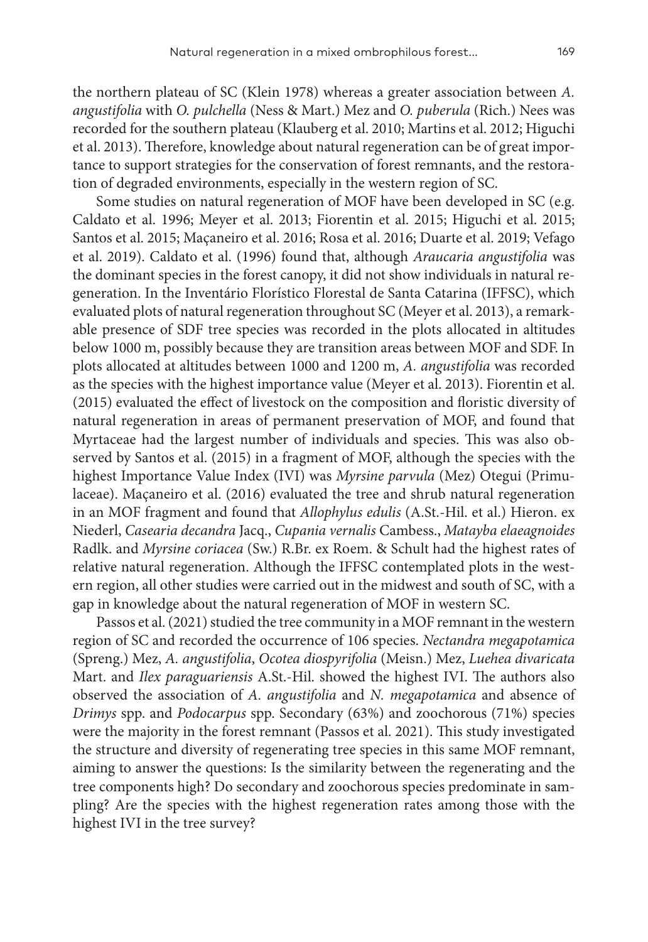the northern plateau of SC (Klein 1978) whereas a greater association between *A. angustifolia* with *O. pulchella* (Ness & Mart.) Mez and *O. puberula* (Rich.) Nees was recorded for the southern plateau (Klauberg et al. 2010; Martins et al. 2012; Higuchi et al. 2013). Therefore, knowledge about natural regeneration can be of great importance to support strategies for the conservation of forest remnants, and the restoration of degraded environments, especially in the western region of SC.

Some studies on natural regeneration of MOF have been developed in SC (e.g. Caldato et al. 1996; Meyer et al. 2013; Fiorentin et al. 2015; Higuchi et al. 2015; Santos et al. 2015; Maçaneiro et al. 2016; Rosa et al. 2016; Duarte et al. 2019; Vefago et al. 2019). Caldato et al. (1996) found that, although *Araucaria angustifolia* was the dominant species in the forest canopy, it did not show individuals in natural regeneration. In the Inventário Florístico Florestal de Santa Catarina (IFFSC), which evaluated plots of natural regeneration throughout SC (Meyer et al. 2013), a remarkable presence of SDF tree species was recorded in the plots allocated in altitudes below 1000 m, possibly because they are transition areas between MOF and SDF. In plots allocated at altitudes between 1000 and 1200 m, *A. angustifolia* was recorded as the species with the highest importance value (Meyer et al. 2013). Fiorentin et al. (2015) evaluated the effect of livestock on the composition and floristic diversity of natural regeneration in areas of permanent preservation of MOF, and found that Myrtaceae had the largest number of individuals and species. This was also observed by Santos et al. (2015) in a fragment of MOF, although the species with the highest Importance Value Index (IVI) was *Myrsine parvula* (Mez) Otegui (Primulaceae). Maçaneiro et al. (2016) evaluated the tree and shrub natural regeneration in an MOF fragment and found that *Allophylus edulis* (A.St.-Hil. et al.) Hieron. ex Niederl, *Casearia decandra* Jacq., *Cupania vernalis* Cambess., *Matayba elaeagnoides* Radlk. and *Myrsine coriacea* (Sw.) R.Br. ex Roem. & Schult had the highest rates of relative natural regeneration. Although the IFFSC contemplated plots in the western region, all other studies were carried out in the midwest and south of SC, with a gap in knowledge about the natural regeneration of MOF in western SC.

Passos et al. (2021) studied the tree community in a MOF remnant in the western region of SC and recorded the occurrence of 106 species. *Nectandra megapotamica* (Spreng.) Mez, *A. angustifolia*, *Ocotea diospyrifolia* (Meisn.) Mez, *Luehea divaricata* Mart. and *Ilex paraguariensis* A.St.-Hil. showed the highest IVI. The authors also observed the association of *A. angustifolia* and *N. megapotamica* and absence of *Drimys* spp. and *Podocarpus* spp. Secondary (63%) and zoochorous (71%) species were the majority in the forest remnant (Passos et al. 2021). This study investigated the structure and diversity of regenerating tree species in this same MOF remnant, aiming to answer the questions: Is the similarity between the regenerating and the tree components high? Do secondary and zoochorous species predominate in sampling? Are the species with the highest regeneration rates among those with the highest IVI in the tree survey?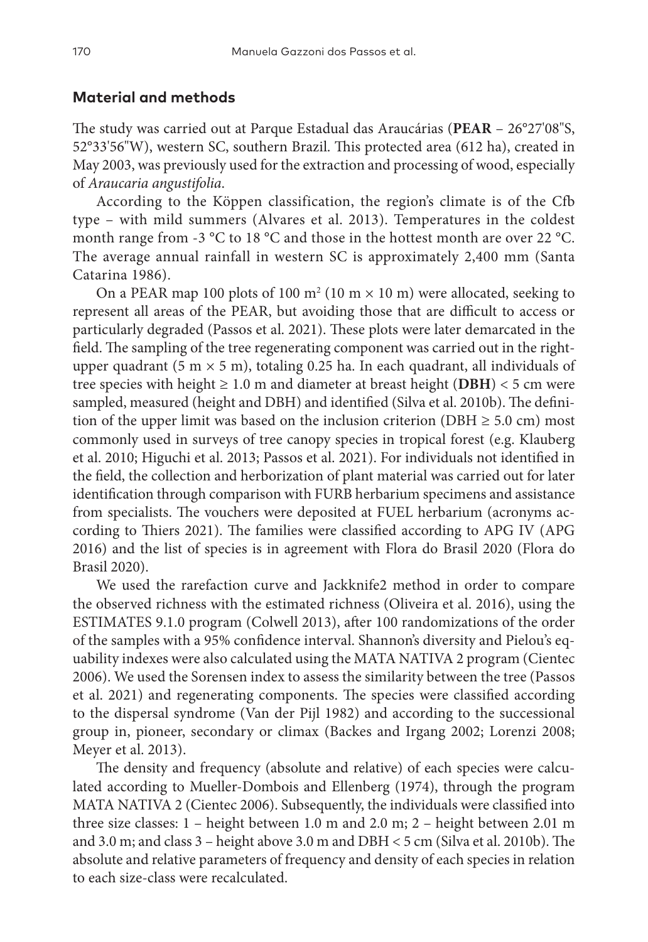#### **Material and methods**

The study was carried out at Parque Estadual das Araucárias (**PEAR** – 26°27'08"S, 52°33'56"W), western SC, southern Brazil. This protected area (612 ha), created in May 2003, was previously used for the extraction and processing of wood, especially of *Araucaria angustifolia*.

According to the Köppen classification, the region's climate is of the Cfb type – with mild summers (Alvares et al. 2013). Temperatures in the coldest month range from -3 °C to 18 °C and those in the hottest month are over 22 °C. The average annual rainfall in western SC is approximately 2,400 mm (Santa Catarina 1986).

On a PEAR map 100 plots of 100  $\text{m}^2$  (10 m  $\times$  10 m) were allocated, seeking to represent all areas of the PEAR, but avoiding those that are difficult to access or particularly degraded (Passos et al. 2021). These plots were later demarcated in the field. The sampling of the tree regenerating component was carried out in the rightupper quadrant (5 m  $\times$  5 m), totaling 0.25 ha. In each quadrant, all individuals of tree species with height  $\geq 1.0$  m and diameter at breast height (DBH)  $<$  5 cm were sampled, measured (height and DBH) and identified (Silva et al. 2010b). The definition of the upper limit was based on the inclusion criterion (DBH  $\geq$  5.0 cm) most commonly used in surveys of tree canopy species in tropical forest (e.g. Klauberg et al. 2010; Higuchi et al. 2013; Passos et al. 2021). For individuals not identified in the field, the collection and herborization of plant material was carried out for later identification through comparison with FURB herbarium specimens and assistance from specialists. The vouchers were deposited at FUEL herbarium (acronyms according to Thiers 2021). The families were classified according to APG IV (APG 2016) and the list of species is in agreement with Flora do Brasil 2020 (Flora do Brasil 2020).

We used the rarefaction curve and Jackknife2 method in order to compare the observed richness with the estimated richness (Oliveira et al. 2016), using the ESTIMATES 9.1.0 program (Colwell 2013), after 100 randomizations of the order of the samples with a 95% confidence interval. Shannon's diversity and Pielou's equability indexes were also calculated using the MATA NATIVA 2 program (Cientec 2006). We used the Sorensen index to assess the similarity between the tree (Passos et al. 2021) and regenerating components. The species were classified according to the dispersal syndrome (Van der Pijl 1982) and according to the successional group in, pioneer, secondary or climax (Backes and Irgang 2002; Lorenzi 2008; Meyer et al. 2013).

The density and frequency (absolute and relative) of each species were calculated according to Mueller-Dombois and Ellenberg (1974), through the program MATA NATIVA 2 (Cientec 2006). Subsequently, the individuals were classified into three size classes: 1 – height between 1.0 m and 2.0 m; 2 – height between 2.01 m and 3.0 m; and class 3 – height above 3.0 m and DBH < 5 cm (Silva et al. 2010b). The absolute and relative parameters of frequency and density of each species in relation to each size-class were recalculated.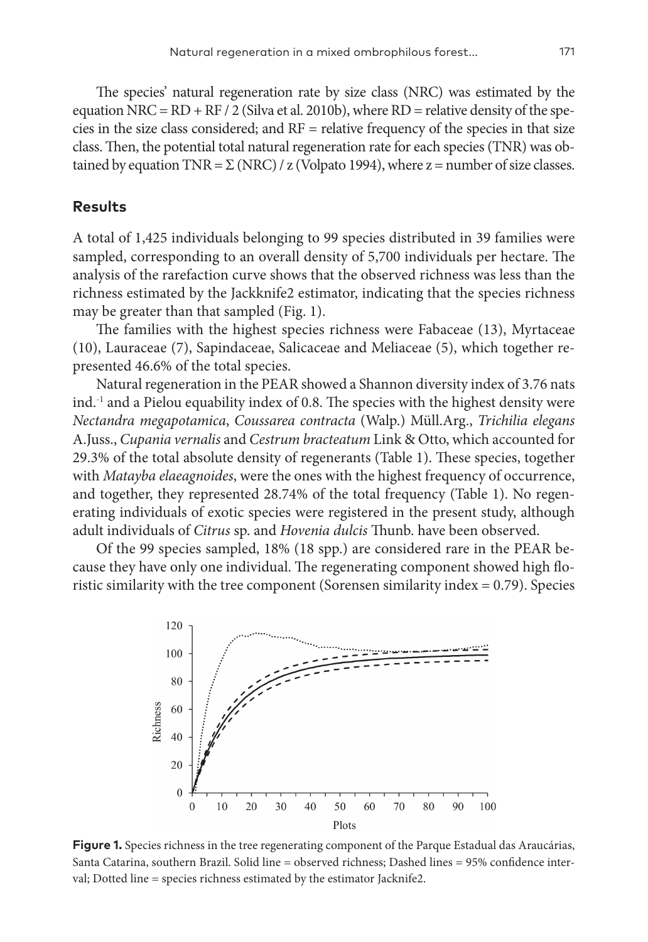The species' natural regeneration rate by size class (NRC) was estimated by the equation NRC =  $RD$  +  $RF / 2$  (Silva et al. 2010b), where  $RD$  = relative density of the species in the size class considered; and  $RF =$  relative frequency of the species in that size class. Then, the potential total natural regeneration rate for each species (TNR) was obtained by equation TNR =  $\Sigma$  (NRC) / z (Volpato 1994), where z = number of size classes.

## **Results**

A total of 1,425 individuals belonging to 99 species distributed in 39 families were sampled, corresponding to an overall density of 5,700 individuals per hectare. The analysis of the rarefaction curve shows that the observed richness was less than the richness estimated by the Jackknife2 estimator, indicating that the species richness may be greater than that sampled (Fig. 1).

The families with the highest species richness were Fabaceae (13), Myrtaceae (10), Lauraceae (7), Sapindaceae, Salicaceae and Meliaceae (5), which together represented 46.6% of the total species.

Natural regeneration in the PEAR showed a Shannon diversity index of 3.76 nats  $ind.$ <sup>1</sup> and a Pielou equability index of 0.8. The species with the highest density were *Nectandra megapotamica*, *Coussarea contracta* (Walp.) Müll.Arg., *Trichilia elegans* A.Juss., *Cupania vernalis* and *Cestrum bracteatum* Link & Otto, which accounted for 29.3% of the total absolute density of regenerants (Table 1). These species, together with *Matayba elaeagnoides*, were the ones with the highest frequency of occurrence, and together, they represented 28.74% of the total frequency (Table 1). No regenerating individuals of exotic species were registered in the present study, although adult individuals of *Citrus* sp. and *Hovenia dulcis* Thunb. have been observed.

Of the 99 species sampled, 18% (18 spp.) are considered rare in the PEAR because they have only one individual. The regenerating component showed high floristic similarity with the tree component (Sorensen similarity index = 0.79). Species



**Figure 1.** Species richness in the tree regenerating component of the Parque Estadual das Araucárias, Santa Catarina, southern Brazil. Solid line = observed richness; Dashed lines = 95% confidence interval; Dotted line = species richness estimated by the estimator Jacknife2.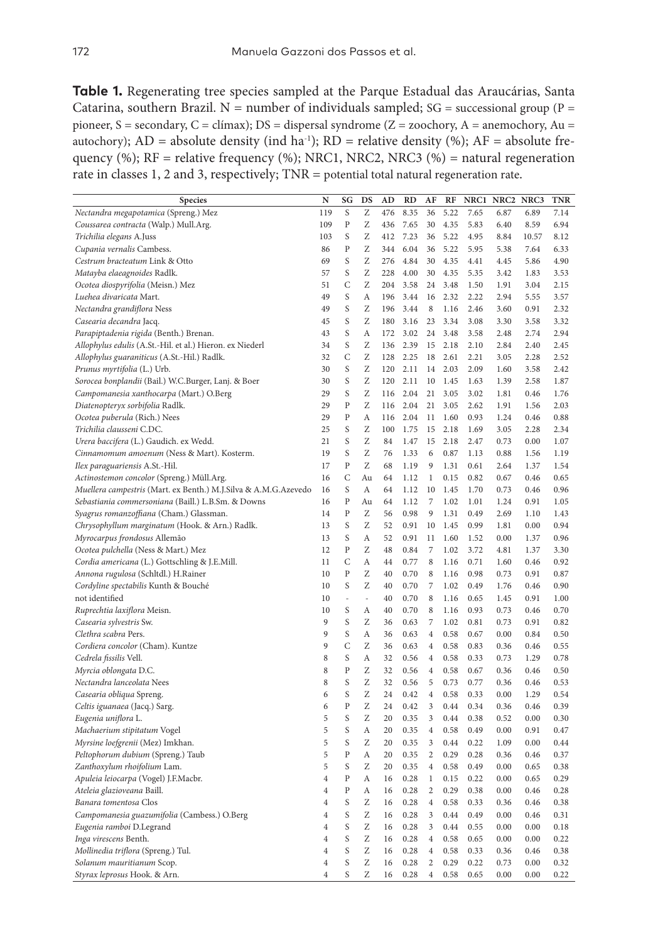**Table 1.** Regenerating tree species sampled at the Parque Estadual das Araucárias, Santa Catarina, southern Brazil. N = number of individuals sampled;  $SG =$  successional group (P = pioneer, S = secondary, C = clímax); DS = dispersal syndrome ( $Z =$  zoochory, A = anemochory, Au = autochory);  $AD = absolute density (ind ha<sup>-1</sup>); RD = relative density (%); AF = absolute free$ quency (%);  $RF =$  relative frequency (%); NRC1, NRC2, NRC3 (%) = natural regeneration rate in classes 1, 2 and 3, respectively; TNR = potential total natural regeneration rate.

| Species                                                         | N              | SG           | DS | AD  | RD   | AF               | RF   | NRC1 | NRC <sub>2</sub> | NRC3  | TNR  |
|-----------------------------------------------------------------|----------------|--------------|----|-----|------|------------------|------|------|------------------|-------|------|
| Nectandra megapotamica (Spreng.) Mez                            | 119            | S            | Ζ  | 476 | 8.35 | 36               | 5.22 | 7.65 | 6.87             | 6.89  | 7.14 |
| Coussarea contracta (Walp.) Mull.Arg.                           | 109            | Ρ            | Ζ  | 436 | 7.65 | 30               | 4.35 | 5.83 | 6.40             | 8.59  | 6.94 |
| Trichilia elegans A.Juss                                        | 103            | S            | Ζ  | 412 | 7.23 | 36               | 5.22 | 4.95 | 8.84             | 10.57 | 8.12 |
| Cupania vernalis Cambess.                                       | 86             | Ρ            | Ζ  | 344 | 6.04 | 36               | 5.22 | 5.95 | 5.38             | 7.64  | 6.33 |
| Cestrum bracteatum Link & Otto                                  | 69             | S            | Ζ  | 276 | 4.84 | 30               | 4.35 | 4.41 | 4.45             | 5.86  | 4.90 |
| Matayba elaeagnoides Radlk.                                     | 57             | S            | Ζ  | 228 | 4.00 | 30               | 4.35 | 5.35 | 3.42             | 1.83  | 3.53 |
| Ocotea diospyrifolia (Meisn.) Mez                               | 51             | C            | Ζ  | 204 | 3.58 | 24               | 3.48 | 1.50 | 1.91             | 3.04  | 2.15 |
| Luehea divaricata Mart.                                         | 49             | S            | A  | 196 | 3.44 | 16               | 2.32 | 2.22 | 2.94             | 5.55  | 3.57 |
| Nectandra grandiflora Ness                                      | 49             | S            | Ζ  | 196 | 3.44 | 8                | 1.16 | 2.46 | 3.60             | 0.91  | 2.32 |
| Casearia decandra Jacq.                                         | 45             | S            | Ζ  | 180 | 3.16 | 23               | 3.34 | 3.08 | 3.30             | 3.58  | 3.32 |
| Parapiptadenia rigida (Benth.) Brenan.                          | 43             | S            | A  | 172 | 3.02 | 24               | 3.48 | 3.58 | 2.48             | 2.74  | 2.94 |
| Allophylus edulis (A.St.-Hil. et al.) Hieron. ex Niederl        | 34             | S            | Ζ  | 136 | 2.39 | 15               | 2.18 | 2.10 | 2.84             | 2.40  | 2.45 |
| Allophylus guaraniticus (A.St.-Hil.) Radlk.                     | 32             | C            | Ζ  | 128 | 2.25 | 18               | 2.61 | 2.21 | 3.05             | 2.28  | 2.52 |
| Prunus myrtifolia (L.) Urb.                                     | 30             | S            | Ζ  | 120 | 2.11 | 14               | 2.03 | 2.09 | 1.60             | 3.58  | 2.42 |
| Sorocea bonplandii (Bail.) W.C.Burger, Lanj. & Boer             | 30             | S            | Ζ  | 120 | 2.11 | $10$             | 1.45 | 1.63 | 1.39             | 2.58  | 1.87 |
| Campomanesia xanthocarpa (Mart.) O.Berg                         | 29             | S            | Ζ  | 116 | 2.04 | 21               | 3.05 | 3.02 | 1.81             | 0.46  | 1.76 |
| Diatenopteryx sorbifolia Radlk.                                 | 29             | Ρ            | Z  | 116 | 2.04 | 21               | 3.05 | 2.62 | 1.91             | 1.56  | 2.03 |
| Ocotea puberula (Rich.) Nees                                    | 29             | Ρ            | A  | 116 | 2.04 | 11               | 1.60 | 0.93 | 1.24             | 0.46  | 0.88 |
| Trichilia clausseni C.DC.                                       | 25             | S            | Ζ  | 100 | 1.75 | 15               | 2.18 | 1.69 | 3.05             | 2.28  | 2.34 |
| Urera baccifera (L.) Gaudich. ex Wedd.                          | 21             | S            | Ζ  | 84  | 1.47 | 15               | 2.18 | 2.47 | 0.73             | 0.00  | 1.07 |
| Cinnamomum amoenum (Ness & Mart). Kosterm.                      | 19             | S            | Ζ  | 76  | 1.33 | 6                | 0.87 | 1.13 | 0.88             | 1.56  | 1.19 |
| Ilex paraguariensis A.St.-Hil.                                  | 17             | $\mathbf P$  | Ζ  | 68  | 1.19 | 9                | 1.31 | 0.61 | 2.64             | 1.37  | 1.54 |
| Actinostemon concolor (Spreng.) Müll.Arg.                       | 16             | C            | Au | 64  | 1.12 | 1                | 0.15 | 0.82 | 0.67             | 0.46  | 0.65 |
| Muellera campestris (Mart. ex Benth.) M.J.Silva & A.M.G.Azevedo | 16             | S            | A  | 64  | 1.12 | 10               | 1.45 | 1.70 | 0.73             | 0.46  | 0.96 |
| Sebastiania commersoniana (Baill.) L.B.Sm. & Downs              | 16             | Ρ            | Au | 64  | 1.12 | 7                | 1.02 | 1.01 | 1.24             | 0.91  | 1.05 |
| Syagrus romanzoffiana (Cham.) Glassman.                         | 14             | P            | Ζ  | 56  | 0.98 | 9                | 1.31 | 0.49 | 2.69             | 1.10  | 1.43 |
| Chrysophyllum marginatum (Hook. & Arn.) Radlk.                  | 13             | S            | Ζ  | 52  | 0.91 | 10               | 1.45 | 0.99 | 1.81             | 0.00  | 0.94 |
| Myrocarpus frondosus Allemão                                    | 13             | S            | А  | 52  | 0.91 | 11               | 1.60 | 1.52 | 0.00             | 1.37  | 0.96 |
| Ocotea pulchella (Ness & Mart.) Mez                             | 12             | P            | Ζ  | 48  | 0.84 | $\overline{7}$   | 1.02 | 3.72 | 4.81             | 1.37  | 3.30 |
| Cordia americana (L.) Gottschling & J.E.Mill.                   | 11             | C            | А  | 44  | 0.77 | 8                | 1.16 | 0.71 | 1.60             | 0.46  | 0.92 |
| Annona rugulosa (Schltdl.) H.Rainer                             | 10             | Ρ            | Ζ  | 40  | 0.70 | 8                | 1.16 | 0.98 | 0.73             | 0.91  | 0.87 |
| Cordyline spectabilis Kunth & Bouché                            | 10             | S            | Ζ  | 40  | 0.70 | $\overline{7}$   | 1.02 | 0.49 | 1.76             | 0.46  | 0.90 |
| not identified                                                  | 10             | i,           | L, | 40  | 0.70 | 8                | 1.16 | 0.65 | 1.45             | 0.91  | 1.00 |
| Ruprechtia laxiflora Meisn.                                     | 10             | S            | A  | 40  | 0.70 | $\,$ 8 $\,$      | 1.16 | 0.93 | 0.73             | 0.46  | 0.70 |
| Casearia sylvestris Sw.                                         | 9              | S            | Ζ  | 36  | 0.63 | 7                | 1.02 | 0.81 | 0.73             | 0.91  | 0.82 |
| Clethra scabra Pers.                                            | 9              | S            | А  | 36  | 0.63 | $\overline{4}$   | 0.58 | 0.67 | 0.00             | 0.84  | 0.50 |
| Cordiera concolor (Cham). Kuntze                                | 9              | $\mathsf{C}$ | Ζ  | 36  | 0.63 | 4                | 0.58 | 0.83 | 0.36             | 0.46  | 0.55 |
| Cedrela fissilis Vell.                                          | 8              | S            | А  | 32  | 0.56 | 4                | 0.58 | 0.33 | 0.73             | 1.29  | 0.78 |
| Myrcia oblongata D.C.                                           | 8              | Ρ            | Ζ  | 32  | 0.56 | $\overline{4}$   | 0.58 | 0.67 | 0.36             | 0.46  | 0.50 |
| Nectandra lanceolata Nees                                       | 8              | S            | Ζ  | 32  | 0.56 | 5                | 0.73 | 0.77 | 0.36             | 0.46  | 0.53 |
| Casearia obliqua Spreng.                                        | 6              | S            | Ζ  | 24  | 0.42 | 4                | 0.58 | 0.33 | 0.00             | 1.29  | 0.54 |
| Celtis iguanaea (Jacq.) Sarg.                                   | 6              | P            | Ζ  | 24  | 0.42 | 3                | 0.44 | 0.34 | 0.36             | 0.46  | 0.39 |
| Eugenia uniflora L.                                             | 5              | S            | Ζ  | 20  | 0.35 | 3                | 0.44 | 0.38 | 0.52             | 0.00  | 0.30 |
| Machaerium stipitatum Vogel                                     | 5              | S            | А  | 20  | 0.35 | $\overline{4}$   | 0.58 | 0.49 | 0.00             | 0.91  | 0.47 |
| Myrsine loefgrenii (Mez) Imkhan.                                | 5              | S            | Ζ  | 20  | 0.35 | 3                | 0.44 | 0.22 | 1.09             | 0.00  | 0.44 |
| Peltophorum dubium (Spreng.) Taub                               | 5              | P            | А  | 20  | 0.35 | $\boldsymbol{2}$ | 0.29 | 0.28 | 0.36             | 0.46  | 0.37 |
| Zanthoxylum rhoifolium Lam.                                     | 5              | S            | Ζ  | 20  | 0.35 | 4                | 0.58 | 0.49 | 0.00             | 0.65  | 0.38 |
| Apuleia leiocarpa (Vogel) J.F.Macbr.                            | 4              | P            | А  | 16  | 0.28 | 1                | 0.15 | 0.22 | 0.00             | 0.65  | 0.29 |
| Ateleia glazioveana Baill.                                      | $\overline{4}$ | P            | А  | 16  | 0.28 | 2                | 0.29 | 0.38 | 0.00             | 0.46  | 0.28 |
| Banara tomentosa Clos                                           | $\overline{4}$ | S            | Ζ  | 16  | 0.28 | $\overline{4}$   | 0.58 | 0.33 | 0.36             | 0.46  | 0.38 |
| Campomanesia guazumifolia (Cambess.) O.Berg                     | 4              | S            | Ζ  | 16  | 0.28 | 3                | 0.44 | 0.49 | 0.00             | 0.46  | 0.31 |
| Eugenia ramboi D.Legrand                                        | $\overline{4}$ | S            | Ζ  | 16  | 0.28 | 3                | 0.44 | 0.55 | 0.00             | 0.00  | 0.18 |
| Inga virescens Benth.                                           | $\overline{4}$ | S            | Ζ  | 16  | 0.28 | $\overline{4}$   | 0.58 | 0.65 | 0.00             | 0.00  | 0.22 |
| Mollinedia triflora (Spreng.) Tul.                              | $\overline{4}$ | S            | Ζ  | 16  | 0.28 | $\overline{4}$   | 0.58 | 0.33 | 0.36             | 0.46  | 0.38 |
| Solanum mauritianum Scop.                                       | $\overline{4}$ | S            | Ζ  | 16  | 0.28 | $\overline{2}$   | 0.29 | 0.22 | 0.73             | 0.00  | 0.32 |
| Styrax leprosus Hook. & Arn.                                    | $\overline{4}$ | S            | Ζ  | 16  | 0.28 | $\overline{4}$   | 0.58 | 0.65 | 0.00             | 0.00  | 0.22 |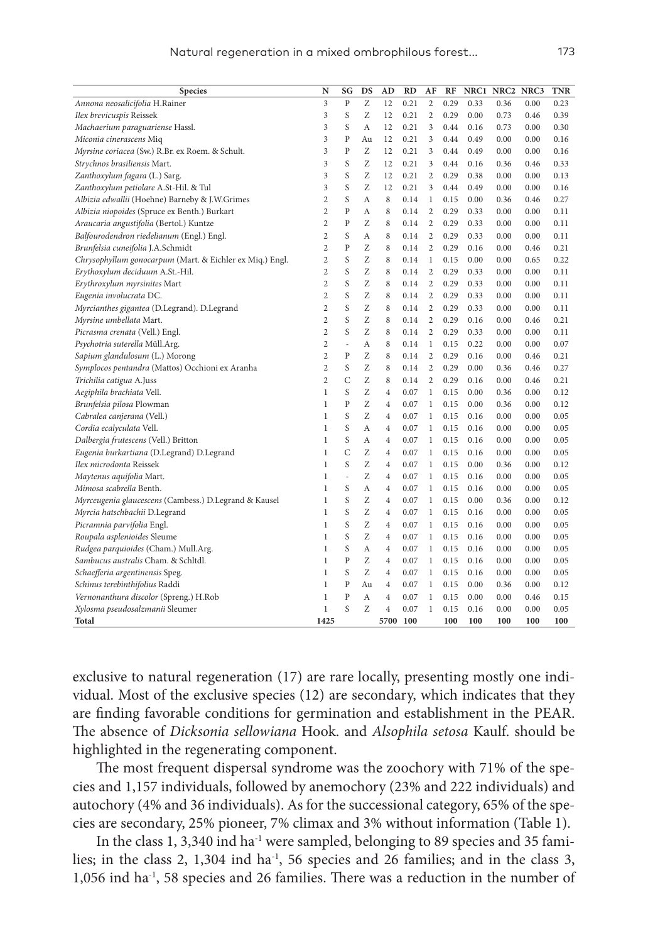| Species                                                  | N              | SG             | DS | AD             | <b>RD</b> | AF             | RF   | NRC1 | NRC2 NRC3 |      | TNR  |
|----------------------------------------------------------|----------------|----------------|----|----------------|-----------|----------------|------|------|-----------|------|------|
| Annona neosalicifolia H.Rainer                           | 3              | $\overline{P}$ | Ζ  | 12             | 0.21      | $\overline{2}$ | 0.29 | 0.33 | 0.36      | 0.00 | 0.23 |
| Ilex brevicuspis Reissek                                 | 3              | S              | Z  | 12             | 0.21      | $\overline{2}$ | 0.29 | 0.00 | 0.73      | 0.46 | 0.39 |
| Machaerium paraguariense Hassl.                          | 3              | S              | A  | 12             | 0.21      | 3              | 0.44 | 0.16 | 0.73      | 0.00 | 0.30 |
| Miconia cinerascens Miq                                  | 3              | $\mathbf{P}$   | Au | 12             | 0.21      | 3              | 0.44 | 0.49 | 0.00      | 0.00 | 0.16 |
| Myrsine coriacea (Sw.) R.Br. ex Roem. & Schult.          | 3              | $\overline{P}$ | Ζ  | 12             | 0.21      | 3              | 0.44 | 0.49 | 0.00      | 0.00 | 0.16 |
| Strychnos brasiliensis Mart.                             | 3              | S              | Ζ  | 12             | 0.21      | 3              | 0.44 | 0.16 | 0.36      | 0.46 | 0.33 |
| Zanthoxylum fagara (L.) Sarg.                            | 3              | S              | Ζ  | 12             | 0.21      | $\overline{c}$ | 0.29 | 0.38 | 0.00      | 0.00 | 0.13 |
| Zanthoxylum petiolare A.St-Hil. & Tul                    | 3              | S              | Ζ  | 12             | 0.21      | 3              | 0.44 | 0.49 | 0.00      | 0.00 | 0.16 |
| Albizia edwallii (Hoehne) Barneby & J.W.Grimes           | $\overline{c}$ | S              | А  | 8              | 0.14      | 1              | 0.15 | 0.00 | 0.36      | 0.46 | 0.27 |
| Albizia niopoides (Spruce ex Benth.) Burkart             | 2              | $\mathbf{P}$   | А  | 8              | 0.14      | $\overline{2}$ | 0.29 | 0.33 | 0.00      | 0.00 | 0.11 |
| Araucaria angustifolia (Bertol.) Kuntze                  | $\overline{c}$ | P              | Z  | 8              | 0.14      | $\overline{2}$ | 0.29 | 0.33 | 0.00      | 0.00 | 0.11 |
| Balfourodendron riedelianum (Engl.) Engl.                | $\overline{c}$ | S              | А  | 8              | 0.14      | $\overline{2}$ | 0.29 | 0.33 | 0.00      | 0.00 | 0.11 |
| Brunfelsia cuneifolia J.A.Schmidt                        | $\overline{2}$ | $\mathbf{P}$   | Ζ  | 8              | 0.14      | $\overline{2}$ | 0.29 | 0.16 | 0.00      | 0.46 | 0.21 |
| Chrysophyllum gonocarpum (Mart. & Eichler ex Miq.) Engl. | $\overline{c}$ | S              | Z  | 8              | 0.14      | $\mathbf 1$    | 0.15 | 0.00 | 0.00      | 0.65 | 0.22 |
| Erythoxylum deciduum A.St.-Hil.                          | 2              | S              | Ζ  | 8              | 0.14      | $\overline{c}$ | 0.29 | 0.33 | 0.00      | 0.00 | 0.11 |
| Erythroxylum myrsinites Mart                             | $\overline{c}$ | S              | Ζ  | 8              | 0.14      | $\overline{c}$ | 0.29 | 0.33 | 0.00      | 0.00 | 0.11 |
| Eugenia involucrata DC.                                  | $\overline{2}$ | S              | Ζ  | 8              | 0.14      | $\overline{2}$ | 0.29 | 0.33 | 0.00      | 0.00 | 0.11 |
| Myrcianthes gigantea (D.Legrand). D.Legrand              | $\overline{c}$ | S              | Z  | 8              | 0.14      | $\overline{c}$ | 0.29 | 0.33 | 0.00      | 0.00 | 0.11 |
| Myrsine umbellata Mart.                                  | $\overline{2}$ | S              | Ζ  | 8              | 0.14      | $\overline{c}$ | 0.29 | 0.16 | 0.00      | 0.46 | 0.21 |
| Picrasma crenata (Vell.) Engl.                           | $\overline{c}$ | S              | Ζ  | 8              | 0.14      | $\overline{2}$ | 0.29 | 0.33 | 0.00      | 0.00 | 0.11 |
| Psychotria suterella Müll.Arg.                           | 2              | $\frac{1}{2}$  | А  | 8              | 0.14      | 1              | 0.15 | 0.22 | 0.00      | 0.00 | 0.07 |
| Sapium glandulosum (L.) Morong                           | $\overline{c}$ | $\mathbf{P}$   | Ζ  | 8              | 0.14      | $\overline{2}$ | 0.29 | 0.16 | 0.00      | 0.46 | 0.21 |
| Symplocos pentandra (Mattos) Occhioni ex Aranha          | $\overline{c}$ | S              | Z  | 8              | 0.14      | $\overline{2}$ | 0.29 | 0.00 | 0.36      | 0.46 | 0.27 |
| Trichilia catigua A.Juss                                 | $\overline{c}$ | C              | Ζ  | 8              | 0.14      | $\overline{2}$ | 0.29 | 0.16 | 0.00      | 0.46 | 0.21 |
| Aegiphila brachiata Vell.                                | $\,1$          | S              | Z  | 4              | 0.07      | 1              | 0.15 | 0.00 | 0.36      | 0.00 | 0.12 |
| Brunfelsia pilosa Plowman                                | 1              | $\mathbf{P}$   | Ζ  | 4              | 0.07      | 1              | 0.15 | 0.00 | 0.36      | 0.00 | 0.12 |
| Cabralea canjerana (Vell.)                               | 1              | S              | Ζ  | $\overline{4}$ | 0.07      | $\mathbf 1$    | 0.15 | 0.16 | 0.00      | 0.00 | 0.05 |
| Cordia ecalyculata Vell.                                 | 1              | S              | А  | 4              | 0.07      | 1              | 0.15 | 0.16 | 0.00      | 0.00 | 0.05 |
| Dalbergia frutescens (Vell.) Britton                     | $\mathbf{1}$   | S              | A  | $\overline{4}$ | 0.07      | $\mathbf{1}$   | 0.15 | 0.16 | 0.00      | 0.00 | 0.05 |
| Eugenia burkartiana (D.Legrand) D.Legrand                | 1              | C              | Ζ  | 4              | 0.07      | 1              | 0.15 | 0.16 | 0.00      | 0.00 | 0.05 |
| Ilex microdonta Reissek                                  | $\mathbf{1}$   | S              | Ζ  | $\overline{4}$ | 0.07      | 1              | 0.15 | 0.00 | 0.36      | 0.00 | 0.12 |
| Maytenus aquifolia Mart.                                 | $\mathbf{1}$   | $\overline{a}$ | Z  | 4              | 0.07      | $\mathbf 1$    | 0.15 | 0.16 | 0.00      | 0.00 | 0.05 |
| Mimosa scabrella Benth.                                  | 1              | S              | А  | 4              | 0.07      | 1              | 0.15 | 0.16 | 0.00      | 0.00 | 0.05 |
| Myrceugenia glaucescens (Cambess.) D.Legrand & Kausel    | 1              | S              | Ζ  | 4              | 0.07      | 1              | 0.15 | 0.00 | 0.36      | 0.00 | 0.12 |
| Myrcia hatschbachii D.Legrand                            | 1              | S              | Ζ  | 4              | 0.07      | 1              | 0.15 | 0.16 | 0.00      | 0.00 | 0.05 |
| Picramnia parvifolia Engl.                               | $\mathbf{1}$   | S              | Ζ  | 4              | 0.07      | $\mathbf{1}$   | 0.15 | 0.16 | 0.00      | 0.00 | 0.05 |
| Roupala asplenioides Sleume                              | 1              | S              | Ζ  | 4              | 0.07      | 1              | 0.15 | 0.16 | 0.00      | 0.00 | 0.05 |
| Rudgea parquioides (Cham.) Mull.Arg.                     | $\mathbf{1}$   | S              | A  | $\overline{4}$ | 0.07      | $\mathbf{1}$   | 0.15 | 0.16 | 0.00      | 0.00 | 0.05 |
| Sambucus australis Cham. & Schltdl.                      | 1              | $\mathbf{P}$   | Z  | 4              | 0.07      | 1              | 0.15 | 0.16 | 0.00      | 0.00 | 0.05 |
| Schaefferia argentinensis Speg.                          | 1              | S              | Ζ  | 4              | 0.07      | 1              | 0.15 | 0.16 | 0.00      | 0.00 | 0.05 |
| Schinus terebinthifolius Raddi                           | $\,1$          | $\mathbf{P}$   | Au | 4              | 0.07      | $\mathbf 1$    | 0.15 | 0.00 | 0.36      | 0.00 | 0.12 |
| Vernonanthura discolor (Spreng.) H.Rob                   | 1              | $\mathbf{P}$   | А  | 4              | 0.07      | 1              | 0.15 | 0.00 | 0.00      | 0.46 | 0.15 |
| Xylosma pseudosalzmanii Sleumer                          | $\,1$          | S              | Z  | $\overline{4}$ | 0.07      | $\mathbf{1}$   | 0.15 | 0.16 | 0.00      | 0.00 | 0.05 |
| Total                                                    | 1425           |                |    | 5700           | 100       |                | 100  | 100  | 100       | 100  | 100  |

exclusive to natural regeneration (17) are rare locally, presenting mostly one individual. Most of the exclusive species (12) are secondary, which indicates that they are finding favorable conditions for germination and establishment in the PEAR. The absence of *Dicksonia sellowiana* Hook. and *Alsophila setosa* Kaulf. should be highlighted in the regenerating component.

The most frequent dispersal syndrome was the zoochory with 71% of the species and 1,157 individuals, followed by anemochory (23% and 222 individuals) and autochory (4% and 36 individuals). As for the successional category, 65% of the species are secondary, 25% pioneer, 7% climax and 3% without information (Table 1).

In the class 1, 3,340 ind ha-1 were sampled, belonging to 89 species and 35 families; in the class 2, 1,304 ind  $ha^{-1}$ , 56 species and 26 families; and in the class 3, 1,056 ind ha-1, 58 species and 26 families. There was a reduction in the number of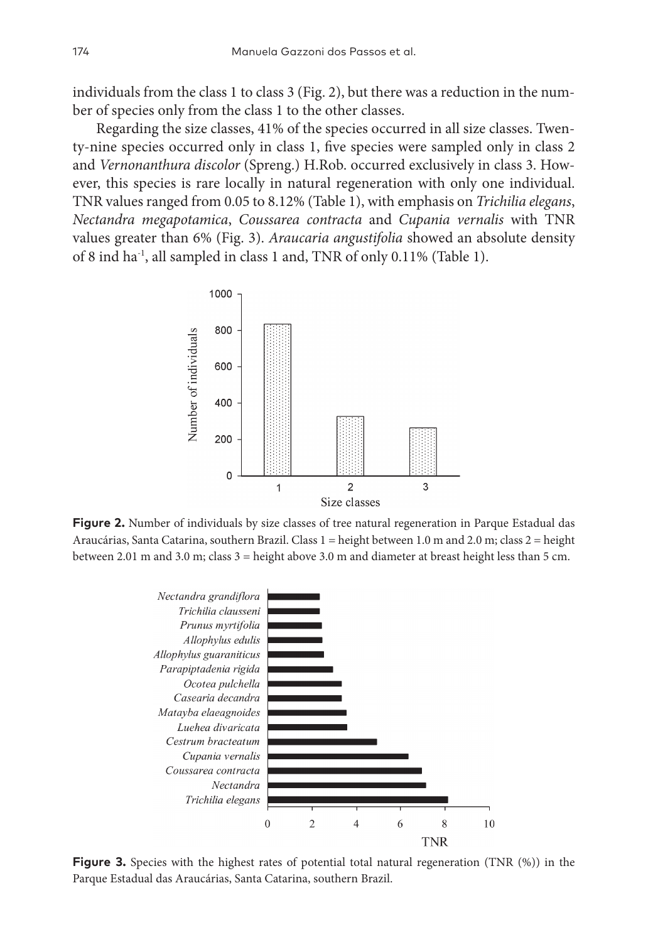individuals from the class 1 to class 3 (Fig. 2), but there was a reduction in the number of species only from the class 1 to the other classes.

Regarding the size classes, 41% of the species occurred in all size classes. Twenty-nine species occurred only in class 1, five species were sampled only in class 2 and *Vernonanthura discolor* (Spreng.) H.Rob. occurred exclusively in class 3. However, this species is rare locally in natural regeneration with only one individual. TNR values ranged from 0.05 to 8.12% (Table 1), with emphasis on *Trichilia elegans*, *Nectandra megapotamica*, *Coussarea contracta* and *Cupania vernalis* with TNR values greater than 6% (Fig. 3). *Araucaria angustifolia* showed an absolute density of 8 ind ha-1, all sampled in class 1 and, TNR of only 0.11% (Table 1).



**Figure 2.** Number of individuals by size classes of tree natural regeneration in Parque Estadual das Araucárias, Santa Catarina, southern Brazil. Class 1 = height between 1.0 m and 2.0 m; class 2 = height between 2.01 m and 3.0 m; class 3 = height above 3.0 m and diameter at breast height less than 5 cm.



**Figure 3.** Species with the highest rates of potential total natural regeneration (TNR  $(\%)$ ) in the Parque Estadual das Araucárias, Santa Catarina, southern Brazil.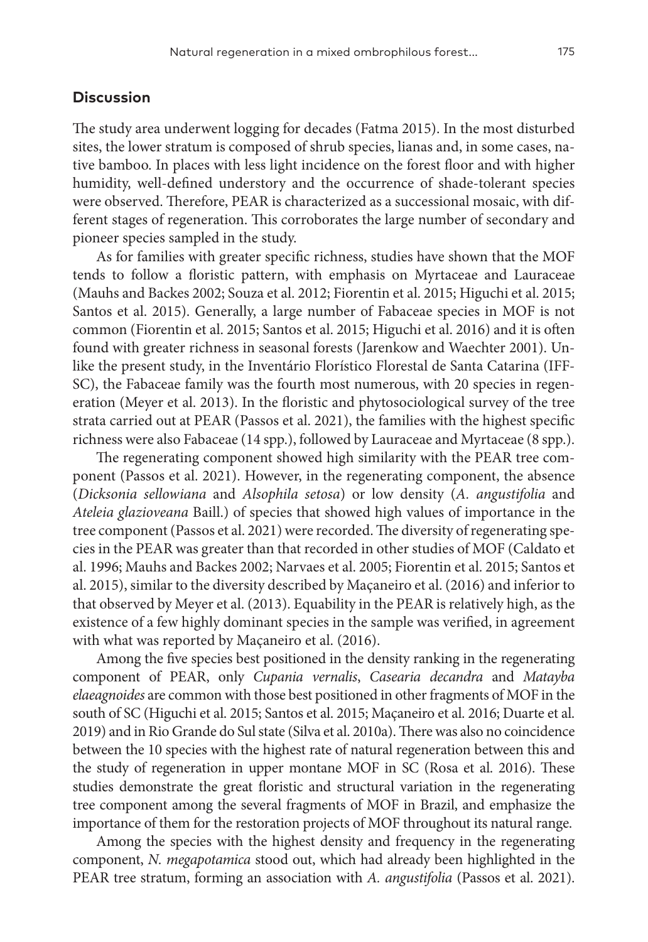#### **Discussion**

The study area underwent logging for decades (Fatma 2015). In the most disturbed sites, the lower stratum is composed of shrub species, lianas and, in some cases, native bamboo. In places with less light incidence on the forest floor and with higher humidity, well-defined understory and the occurrence of shade-tolerant species were observed. Therefore, PEAR is characterized as a successional mosaic, with different stages of regeneration. This corroborates the large number of secondary and pioneer species sampled in the study.

As for families with greater specific richness, studies have shown that the MOF tends to follow a floristic pattern, with emphasis on Myrtaceae and Lauraceae (Mauhs and Backes 2002; Souza et al. 2012; Fiorentin et al. 2015; Higuchi et al. 2015; Santos et al. 2015). Generally, a large number of Fabaceae species in MOF is not common (Fiorentin et al. 2015; Santos et al. 2015; Higuchi et al. 2016) and it is often found with greater richness in seasonal forests (Jarenkow and Waechter 2001). Unlike the present study, in the Inventário Florístico Florestal de Santa Catarina (IFF-SC), the Fabaceae family was the fourth most numerous, with 20 species in regeneration (Meyer et al. 2013). In the floristic and phytosociological survey of the tree strata carried out at PEAR (Passos et al. 2021), the families with the highest specific richness were also Fabaceae (14 spp.), followed by Lauraceae and Myrtaceae (8 spp.).

The regenerating component showed high similarity with the PEAR tree component (Passos et al. 2021). However, in the regenerating component, the absence (*Dicksonia sellowiana* and *Alsophila setosa*) or low density (*A. angustifolia* and *Ateleia glazioveana* Baill.) of species that showed high values of importance in the tree component (Passos et al. 2021) were recorded. The diversity of regenerating species in the PEAR was greater than that recorded in other studies of MOF (Caldato et al. 1996; Mauhs and Backes 2002; Narvaes et al. 2005; Fiorentin et al. 2015; Santos et al. 2015), similar to the diversity described by Maçaneiro et al. (2016) and inferior to that observed by Meyer et al. (2013). Equability in the PEAR is relatively high, as the existence of a few highly dominant species in the sample was verified, in agreement with what was reported by Maçaneiro et al. (2016).

Among the five species best positioned in the density ranking in the regenerating component of PEAR, only *Cupania vernalis*, *Casearia decandra* and *Matayba elaeagnoides* are common with those best positioned in other fragments of MOF in the south of SC (Higuchi et al. 2015; Santos et al. 2015; Maçaneiro et al. 2016; Duarte et al. 2019) and in Rio Grande do Sul state (Silva et al. 2010a). There was also no coincidence between the 10 species with the highest rate of natural regeneration between this and the study of regeneration in upper montane MOF in SC (Rosa et al. 2016). These studies demonstrate the great floristic and structural variation in the regenerating tree component among the several fragments of MOF in Brazil, and emphasize the importance of them for the restoration projects of MOF throughout its natural range.

Among the species with the highest density and frequency in the regenerating component, *N. megapotamica* stood out, which had already been highlighted in the PEAR tree stratum, forming an association with *A. angustifolia* (Passos et al. 2021).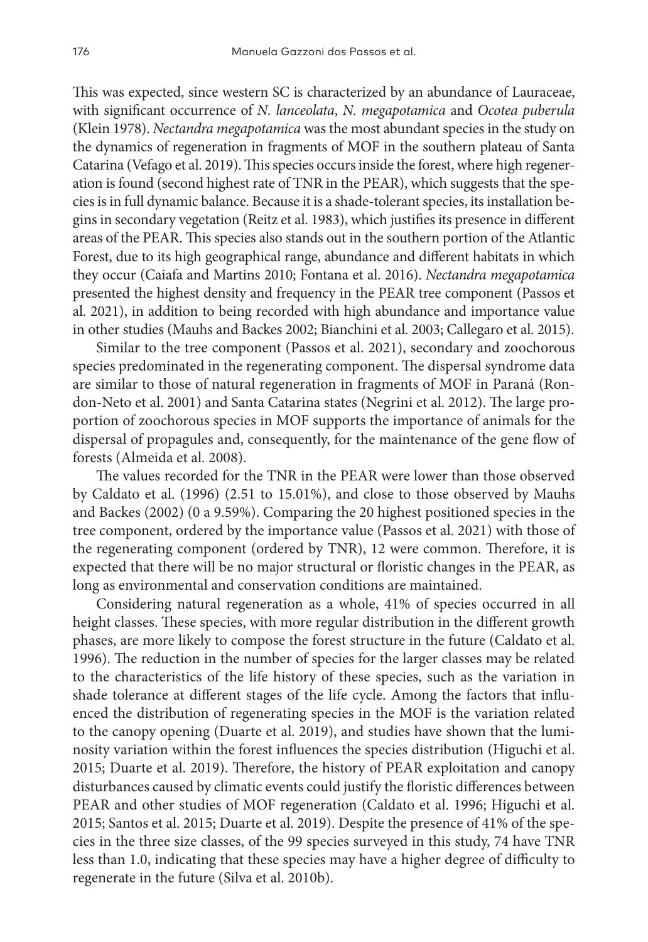This was expected, since western SC is characterized by an abundance of Lauraceae, with significant occurrence of *N. lanceolata*, *N. megapotamica* and *Ocotea puberula* (Klein 1978). *Nectandra megapotamica* was the most abundant species in the study on the dynamics of regeneration in fragments of MOF in the southern plateau of Santa Catarina (Vefago et al. 2019). This species occurs inside the forest, where high regeneration is found (second highest rate of TNR in the PEAR), which suggests that the species is in full dynamic balance. Because it is a shade-tolerant species, its installation begins in secondary vegetation (Reitz et al. 1983), which justifies its presence in different areas of the PEAR. This species also stands out in the southern portion of the Atlantic Forest, due to its high geographical range, abundance and different habitats in which they occur (Caiafa and Martins 2010; Fontana et al. 2016). *Nectandra megapotamica* presented the highest density and frequency in the PEAR tree component (Passos et al. 2021), in addition to being recorded with high abundance and importance value in other studies (Mauhs and Backes 2002; Bianchini et al. 2003; Callegaro et al. 2015).

Similar to the tree component (Passos et al. 2021), secondary and zoochorous species predominated in the regenerating component. The dispersal syndrome data are similar to those of natural regeneration in fragments of MOF in Paraná (Rondon-Neto et al. 2001) and Santa Catarina states (Negrini et al. 2012). The large proportion of zoochorous species in MOF supports the importance of animals for the dispersal of propagules and, consequently, for the maintenance of the gene flow of forests (Almeida et al. 2008).

The values recorded for the TNR in the PEAR were lower than those observed by Caldato et al. (1996) (2.51 to 15.01%), and close to those observed by Mauhs and Backes (2002) (0 a 9.59%). Comparing the 20 highest positioned species in the tree component, ordered by the importance value (Passos et al. 2021) with those of the regenerating component (ordered by TNR), 12 were common. Therefore, it is expected that there will be no major structural or floristic changes in the PEAR, as long as environmental and conservation conditions are maintained.

Considering natural regeneration as a whole, 41% of species occurred in all height classes. These species, with more regular distribution in the different growth phases, are more likely to compose the forest structure in the future (Caldato et al. 1996). The reduction in the number of species for the larger classes may be related to the characteristics of the life history of these species, such as the variation in shade tolerance at different stages of the life cycle. Among the factors that influenced the distribution of regenerating species in the MOF is the variation related to the canopy opening (Duarte et al. 2019), and studies have shown that the luminosity variation within the forest influences the species distribution (Higuchi et al. 2015; Duarte et al. 2019). Therefore, the history of PEAR exploitation and canopy disturbances caused by climatic events could justify the floristic differences between PEAR and other studies of MOF regeneration (Caldato et al. 1996; Higuchi et al. 2015; Santos et al. 2015; Duarte et al. 2019). Despite the presence of 41% of the species in the three size classes, of the 99 species surveyed in this study, 74 have TNR less than 1.0, indicating that these species may have a higher degree of difficulty to regenerate in the future (Silva et al. 2010b).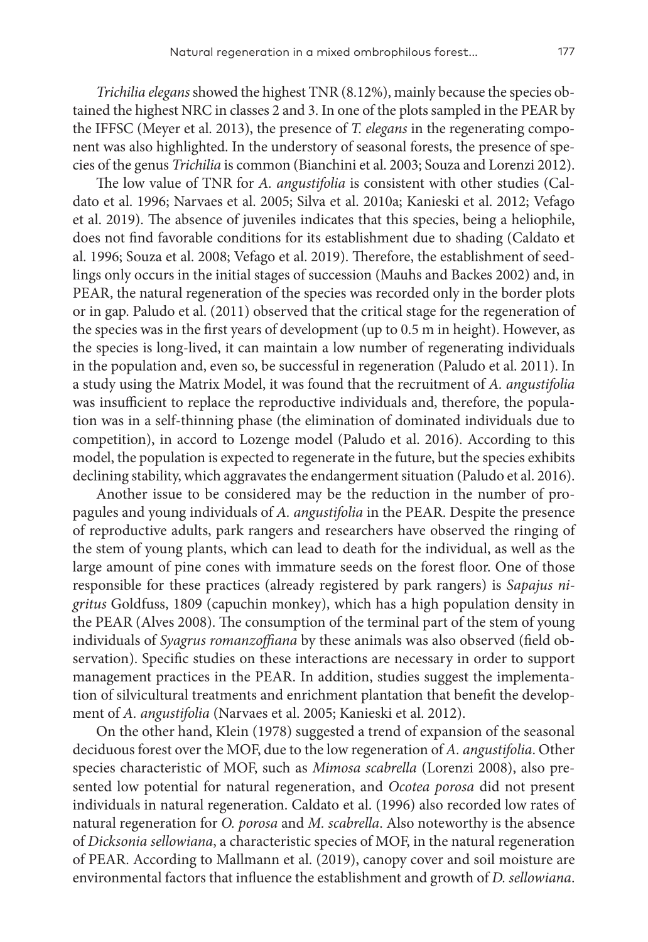*Trichilia elegans* showed the highest TNR (8.12%), mainly because the species obtained the highest NRC in classes 2 and 3. In one of the plots sampled in the PEAR by the IFFSC (Meyer et al. 2013), the presence of *T. elegans* in the regenerating component was also highlighted. In the understory of seasonal forests, the presence of species of the genus *Trichilia* is common (Bianchini et al. 2003; Souza and Lorenzi 2012).

The low value of TNR for *A. angustifolia* is consistent with other studies (Caldato et al. 1996; Narvaes et al. 2005; Silva et al. 2010a; Kanieski et al. 2012; Vefago et al. 2019). The absence of juveniles indicates that this species, being a heliophile, does not find favorable conditions for its establishment due to shading (Caldato et al. 1996; Souza et al. 2008; Vefago et al. 2019). Therefore, the establishment of seedlings only occurs in the initial stages of succession (Mauhs and Backes 2002) and, in PEAR, the natural regeneration of the species was recorded only in the border plots or in gap. Paludo et al. (2011) observed that the critical stage for the regeneration of the species was in the first years of development (up to 0.5 m in height). However, as the species is long-lived, it can maintain a low number of regenerating individuals in the population and, even so, be successful in regeneration (Paludo et al. 2011). In a study using the Matrix Model, it was found that the recruitment of *A. angustifolia* was insufficient to replace the reproductive individuals and, therefore, the population was in a self-thinning phase (the elimination of dominated individuals due to competition), in accord to Lozenge model (Paludo et al. 2016). According to this model, the population is expected to regenerate in the future, but the species exhibits declining stability, which aggravates the endangerment situation (Paludo et al. 2016).

Another issue to be considered may be the reduction in the number of propagules and young individuals of *A. angustifolia* in the PEAR. Despite the presence of reproductive adults, park rangers and researchers have observed the ringing of the stem of young plants, which can lead to death for the individual, as well as the large amount of pine cones with immature seeds on the forest floor. One of those responsible for these practices (already registered by park rangers) is *Sapajus nigritus* Goldfuss, 1809 (capuchin monkey), which has a high population density in the PEAR (Alves 2008). The consumption of the terminal part of the stem of young individuals of *Syagrus romanzoffiana* by these animals was also observed (field observation). Specific studies on these interactions are necessary in order to support management practices in the PEAR. In addition, studies suggest the implementation of silvicultural treatments and enrichment plantation that benefit the development of *A. angustifolia* (Narvaes et al. 2005; Kanieski et al. 2012).

On the other hand, Klein (1978) suggested a trend of expansion of the seasonal deciduous forest over the MOF, due to the low regeneration of *A. angustifolia*. Other species characteristic of MOF, such as *Mimosa scabrella* (Lorenzi 2008), also presented low potential for natural regeneration, and *Ocotea porosa* did not present individuals in natural regeneration. Caldato et al. (1996) also recorded low rates of natural regeneration for *O. porosa* and *M. scabrella*. Also noteworthy is the absence of *Dicksonia sellowiana*, a characteristic species of MOF, in the natural regeneration of PEAR. According to Mallmann et al. (2019), canopy cover and soil moisture are environmental factors that influence the establishment and growth of *D. sellowiana*.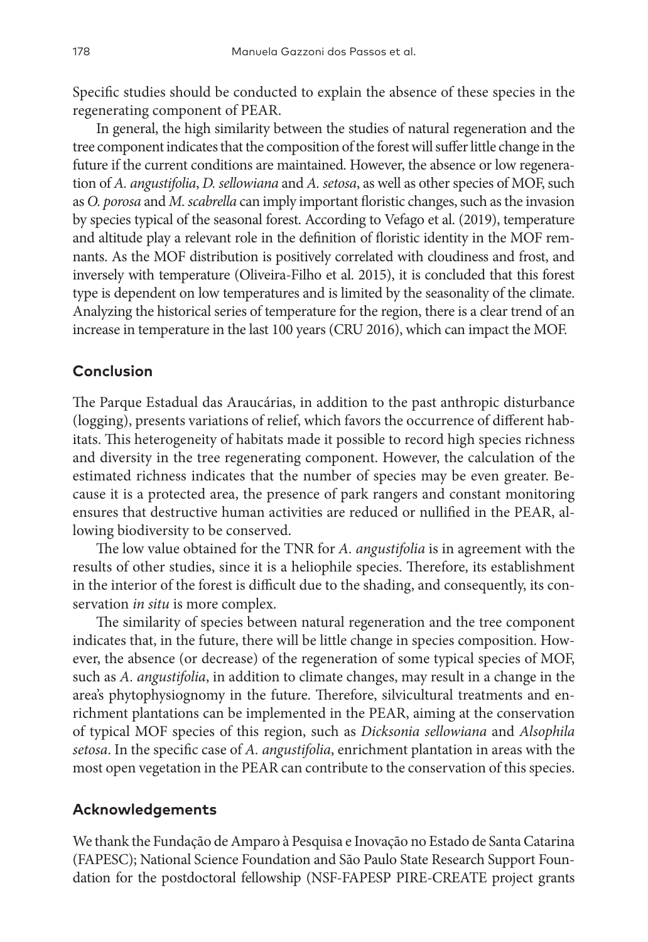Specific studies should be conducted to explain the absence of these species in the regenerating component of PEAR.

In general, the high similarity between the studies of natural regeneration and the tree component indicates that the composition of the forest will suffer little change in the future if the current conditions are maintained. However, the absence or low regeneration of *A. angustifolia*, *D. sellowiana* and *A. setosa*, as well as other species of MOF, such as *O. porosa* and *M. scabrella* can imply important floristic changes, such as the invasion by species typical of the seasonal forest. According to Vefago et al. (2019), temperature and altitude play a relevant role in the definition of floristic identity in the MOF remnants. As the MOF distribution is positively correlated with cloudiness and frost, and inversely with temperature (Oliveira-Filho et al. 2015), it is concluded that this forest type is dependent on low temperatures and is limited by the seasonality of the climate. Analyzing the historical series of temperature for the region, there is a clear trend of an increase in temperature in the last 100 years (CRU 2016), which can impact the MOF.

## **Conclusion**

The Parque Estadual das Araucárias, in addition to the past anthropic disturbance (logging), presents variations of relief, which favors the occurrence of different habitats. This heterogeneity of habitats made it possible to record high species richness and diversity in the tree regenerating component. However, the calculation of the estimated richness indicates that the number of species may be even greater. Because it is a protected area, the presence of park rangers and constant monitoring ensures that destructive human activities are reduced or nullified in the PEAR, allowing biodiversity to be conserved.

The low value obtained for the TNR for *A. angustifolia* is in agreement with the results of other studies, since it is a heliophile species. Therefore, its establishment in the interior of the forest is difficult due to the shading, and consequently, its conservation *in situ* is more complex.

The similarity of species between natural regeneration and the tree component indicates that, in the future, there will be little change in species composition. However, the absence (or decrease) of the regeneration of some typical species of MOF, such as *A. angustifolia*, in addition to climate changes, may result in a change in the area's phytophysiognomy in the future. Therefore, silvicultural treatments and enrichment plantations can be implemented in the PEAR, aiming at the conservation of typical MOF species of this region, such as *Dicksonia sellowiana* and *Alsophila setosa*. In the specific case of *A. angustifolia*, enrichment plantation in areas with the most open vegetation in the PEAR can contribute to the conservation of this species.

## **Acknowledgements**

We thank the Fundação de Amparo à Pesquisa e Inovação no Estado de Santa Catarina (FAPESC); National Science Foundation and São Paulo State Research Support Foundation for the postdoctoral fellowship (NSF-FAPESP PIRE-CREATE project grants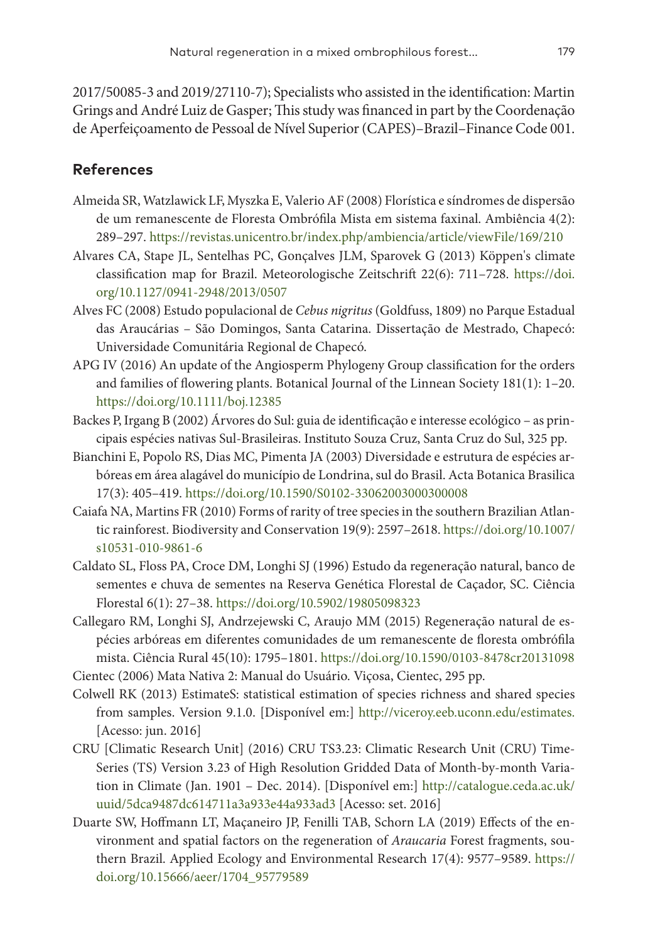2017/50085-3 and 2019/27110-7); Specialists who assisted in the identification: Martin Grings and André Luiz de Gasper; This study was financed in part by the Coordenação de Aperfeiçoamento de Pessoal de Nível Superior (CAPES)–Brazil–Finance Code 001.

## **References**

- Almeida SR, Watzlawick LF, Myszka E, Valerio AF (2008) Florística e síndromes de dispersão de um remanescente de Floresta Ombrófila Mista em sistema faxinal. Ambiência 4(2): 289–297. <https://revistas.unicentro.br/index.php/ambiencia/article/viewFile/169/210>
- Alvares CA, Stape JL, Sentelhas PC, Gonçalves JLM, Sparovek G (2013) Köppen's climate classification map for Brazil. Meteorologische Zeitschrift 22(6): 711–728. [https://doi.](https://doi.org/10.1127/0941-2948/2013/0507) [org/10.1127/0941-2948/2013/0507](https://doi.org/10.1127/0941-2948/2013/0507)
- Alves FC (2008) Estudo populacional de *Cebus nigritus* (Goldfuss, 1809) no Parque Estadual das Araucárias – São Domingos, Santa Catarina. Dissertação de Mestrado, Chapecó: Universidade Comunitária Regional de Chapecó.
- APG IV (2016) An update of the Angiosperm Phylogeny Group classification for the orders and families of flowering plants. Botanical Journal of the Linnean Society 181(1): 1–20. <https://doi.org/10.1111/boj.12385>
- Backes P, Irgang B (2002) Árvores do Sul: guia de identificação e interesse ecológico as principais espécies nativas Sul-Brasileiras. Instituto Souza Cruz, Santa Cruz do Sul, 325 pp.
- Bianchini E, Popolo RS, Dias MC, Pimenta JA (2003) Diversidade e estrutura de espécies arbóreas em área alagável do município de Londrina, sul do Brasil. Acta Botanica Brasilica 17(3): 405–419. <https://doi.org/10.1590/S0102-33062003000300008>
- Caiafa NA, Martins FR (2010) Forms of rarity of tree species in the southern Brazilian Atlantic rainforest. Biodiversity and Conservation 19(9): 2597–2618. [https://doi.org/10.1007/](https://doi.org/10.1007/s10531-010-9861-6) [s10531-010-9861-6](https://doi.org/10.1007/s10531-010-9861-6)
- Caldato SL, Floss PA, Croce DM, Longhi SJ (1996) Estudo da regeneração natural, banco de sementes e chuva de sementes na Reserva Genética Florestal de Caçador, SC. Ciência Florestal 6(1): 27–38.<https://doi.org/10.5902/19805098323>
- Callegaro RM, Longhi SJ, Andrzejewski C, Araujo MM (2015) Regeneração natural de espécies arbóreas em diferentes comunidades de um remanescente de floresta ombrófila mista. Ciência Rural 45(10): 1795–1801. <https://doi.org/10.1590/0103-8478cr20131098>
- Cientec (2006) Mata Nativa 2: Manual do Usuário. Viçosa, Cientec, 295 pp.
- Colwell RK (2013) EstimateS: statistical estimation of species richness and shared species from samples. Version 9.1.0. [Disponível em:] [http://viceroy.eeb.uconn.edu/estimates.](http://viceroy.eeb.uconn.edu/estimates) [Acesso: jun. 2016]
- CRU [Climatic Research Unit] (2016) CRU TS3.23: Climatic Research Unit (CRU) Time-Series (TS) Version 3.23 of High Resolution Gridded Data of Month-by-month Variation in Climate (Jan. 1901 – Dec. 2014). [Disponível em:] [http://catalogue.ceda.ac.uk/](http://catalogue.ceda.ac.uk/uuid/5dca9487dc614711a3a933e44a933ad3) [uuid/5dca9487dc614711a3a933e44a933ad3](http://catalogue.ceda.ac.uk/uuid/5dca9487dc614711a3a933e44a933ad3) [Acesso: set. 2016]
- Duarte SW, Hoffmann LT, Maçaneiro JP, Fenilli TAB, Schorn LA (2019) Effects of the environment and spatial factors on the regeneration of *Araucaria* Forest fragments, southern Brazil. Applied Ecology and Environmental Research 17(4): 9577–9589. [https://](https://doi.org/10.15666/aeer/1704_95779589) [doi.org/10.15666/aeer/1704\\_95779589](https://doi.org/10.15666/aeer/1704_95779589)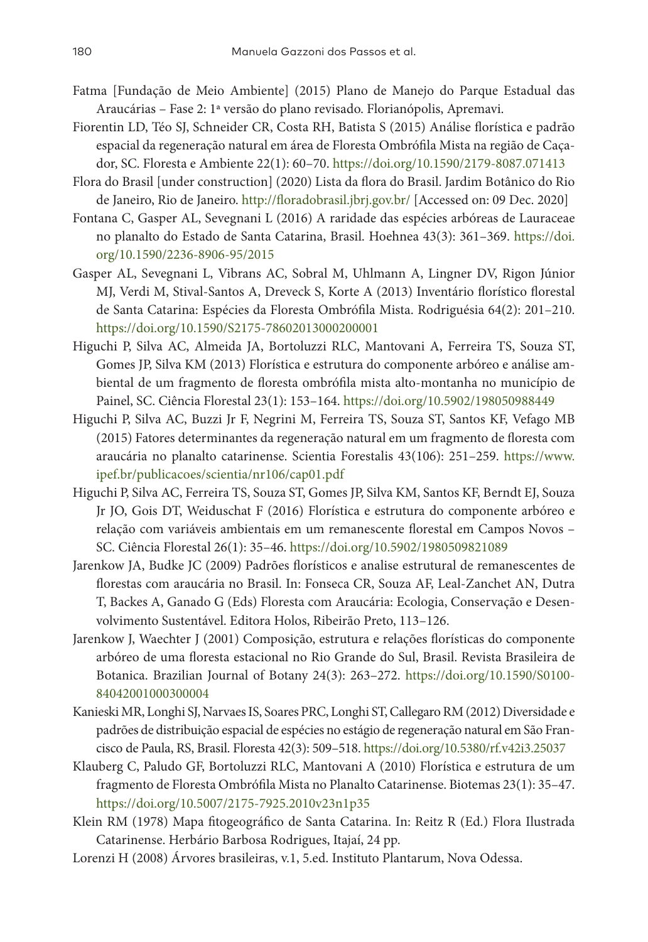- Fatma [Fundação de Meio Ambiente] (2015) Plano de Manejo do Parque Estadual das Araucárias – Fase 2: 1ª versão do plano revisado. Florianópolis, Apremavi.
- Fiorentin LD, Téo SJ, Schneider CR, Costa RH, Batista S (2015) Análise florística e padrão espacial da regeneração natural em área de Floresta Ombrófila Mista na região de Caçador, SC. Floresta e Ambiente 22(1): 60–70.<https://doi.org/10.1590/2179-8087.071413>
- Flora do Brasil [under construction] (2020) Lista da flora do Brasil. Jardim Botânico do Rio de Janeiro, Rio de Janeiro. <http://floradobrasil.jbrj.gov.br/> [Accessed on: 09 Dec. 2020]
- Fontana C, Gasper AL, Sevegnani L (2016) A raridade das espécies arbóreas de Lauraceae no planalto do Estado de Santa Catarina, Brasil. Hoehnea 43(3): 361–369. [https://doi.](https://doi.org/10.1590/2236-8906-95/2015) [org/10.1590/2236-8906-95/2015](https://doi.org/10.1590/2236-8906-95/2015)
- Gasper AL, Sevegnani L, Vibrans AC, Sobral M, Uhlmann A, Lingner DV, Rigon Júnior MJ, Verdi M, Stival-Santos A, Dreveck S, Korte A (2013) Inventário florístico florestal de Santa Catarina: Espécies da Floresta Ombrófila Mista. Rodriguésia 64(2): 201–210. <https://doi.org/10.1590/S2175-78602013000200001>
- Higuchi P, Silva AC, Almeida JA, Bortoluzzi RLC, Mantovani A, Ferreira TS, Souza ST, Gomes JP, Silva KM (2013) Florística e estrutura do componente arbóreo e análise ambiental de um fragmento de floresta ombrófila mista alto-montanha no município de Painel, SC. Ciência Florestal 23(1): 153–164.<https://doi.org/10.5902/198050988449>
- Higuchi P, Silva AC, Buzzi Jr F, Negrini M, Ferreira TS, Souza ST, Santos KF, Vefago MB (2015) Fatores determinantes da regeneração natural em um fragmento de floresta com araucária no planalto catarinense. Scientia Forestalis 43(106): 251–259. [https://www.](https://www.ipef.br/publicacoes/scientia/nr106/cap01.pdf) [ipef.br/publicacoes/scientia/nr106/cap01.pdf](https://www.ipef.br/publicacoes/scientia/nr106/cap01.pdf)
- Higuchi P, Silva AC, Ferreira TS, Souza ST, Gomes JP, Silva KM, Santos KF, Berndt EJ, Souza Jr JO, Gois DT, Weiduschat F (2016) Florística e estrutura do componente arbóreo e relação com variáveis ambientais em um remanescente florestal em Campos Novos – SC. Ciência Florestal 26(1): 35–46.<https://doi.org/10.5902/1980509821089>
- Jarenkow JA, Budke JC (2009) Padrões florísticos e analise estrutural de remanescentes de florestas com araucária no Brasil. In: Fonseca CR, Souza AF, Leal-Zanchet AN, Dutra T, Backes A, Ganado G (Eds) Floresta com Araucária: Ecologia, Conservação e Desenvolvimento Sustentável. Editora Holos, Ribeirão Preto, 113–126.
- Jarenkow J, Waechter J (2001) Composição, estrutura e relações florísticas do componente arbóreo de uma floresta estacional no Rio Grande do Sul, Brasil. Revista Brasileira de Botanica. Brazilian Journal of Botany 24(3): 263–272. [https://doi.org/10.1590/S0100-](https://doi.org/10.1590/S0100-84042001000300004) [84042001000300004](https://doi.org/10.1590/S0100-84042001000300004)
- Kanieski MR, Longhi SJ, Narvaes IS, Soares PRC, Longhi ST, Callegaro RM (2012) Diversidade e padrões de distribuição espacial de espécies no estágio de regeneração natural em São Francisco de Paula, RS, Brasil. Floresta 42(3): 509–518. <https://doi.org/10.5380/rf.v42i3.25037>
- Klauberg C, Paludo GF, Bortoluzzi RLC, Mantovani A (2010) Florística e estrutura de um fragmento de Floresta Ombrófila Mista no Planalto Catarinense. Biotemas 23(1): 35–47. <https://doi.org/10.5007/2175-7925.2010v23n1p35>
- Klein RM (1978) Mapa fitogeográfico de Santa Catarina. In: Reitz R (Ed.) Flora Ilustrada Catarinense. Herbário Barbosa Rodrigues, Itajaí, 24 pp.
- Lorenzi H (2008) Árvores brasileiras, v.1, 5.ed. Instituto Plantarum, Nova Odessa.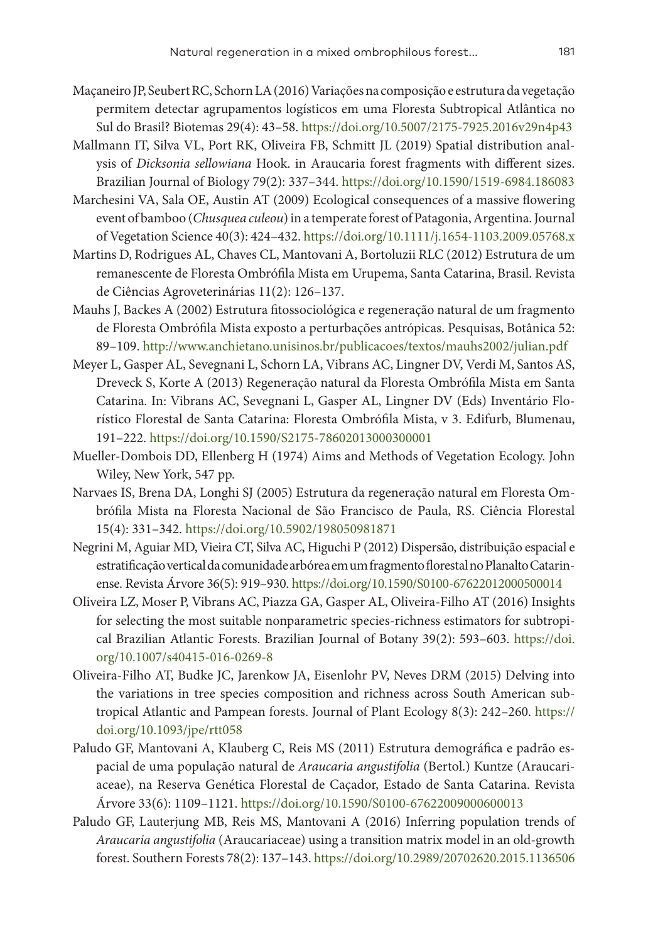- Maçaneiro JP, Seubert RC, Schorn LA (2016) Variações na composição e estrutura da vegetação permitem detectar agrupamentos logísticos em uma Floresta Subtropical Atlântica no Sul do Brasil? Biotemas 29(4): 43–58. <https://doi.org/10.5007/2175-7925.2016v29n4p43>
- Mallmann IT, Silva VL, Port RK, Oliveira FB, Schmitt JL (2019) Spatial distribution analysis of *Dicksonia sellowiana* Hook. in Araucaria forest fragments with different sizes. Brazilian Journal of Biology 79(2): 337–344. <https://doi.org/10.1590/1519-6984.186083>
- Marchesini VA, Sala OE, Austin AT (2009) Ecological consequences of a massive flowering event of bamboo (*Chusquea culeou*) in a temperate forest of Patagonia, Argentina. Journal of Vegetation Science 40(3): 424–432.<https://doi.org/10.1111/j.1654-1103.2009.05768.x>
- Martins D, Rodrigues AL, Chaves CL, Mantovani A, Bortoluzii RLC (2012) Estrutura de um remanescente de Floresta Ombrófila Mista em Urupema, Santa Catarina, Brasil. Revista de Ciências Agroveterinárias 11(2): 126–137.
- Mauhs J, Backes A (2002) Estrutura fitossociológica e regeneração natural de um fragmento de Floresta Ombrófila Mista exposto a perturbações antrópicas. Pesquisas, Botânica 52: 89–109.<http://www.anchietano.unisinos.br/publicacoes/textos/mauhs2002/julian.pdf>
- Meyer L, Gasper AL, Sevegnani L, Schorn LA, Vibrans AC, Lingner DV, Verdi M, Santos AS, Dreveck S, Korte A (2013) Regeneração natural da Floresta Ombrófila Mista em Santa Catarina. In: Vibrans AC, Sevegnani L, Gasper AL, Lingner DV (Eds) Inventário Florístico Florestal de Santa Catarina: Floresta Ombrófila Mista, v 3. Edifurb, Blumenau, 191–222. <https://doi.org/10.1590/S2175-78602013000300001>
- Mueller-Dombois DD, Ellenberg H (1974) Aims and Methods of Vegetation Ecology. John Wiley, New York, 547 pp.
- Narvaes IS, Brena DA, Longhi SJ (2005) Estrutura da regeneração natural em Floresta Ombrófila Mista na Floresta Nacional de São Francisco de Paula, RS. Ciência Florestal 15(4): 331–342. <https://doi.org/10.5902/198050981871>
- Negrini M, Aguiar MD, Vieira CT, Silva AC, Higuchi P (2012) Dispersão, distribuição espacial e estratificação vertical da comunidade arbórea em um fragmento florestal no Planalto Catarinense. Revista Árvore 36(5): 919–930. <https://doi.org/10.1590/S0100-67622012000500014>
- Oliveira LZ, Moser P, Vibrans AC, Piazza GA, Gasper AL, Oliveira-Filho AT (2016) Insights for selecting the most suitable nonparametric species-richness estimators for subtropical Brazilian Atlantic Forests. Brazilian Journal of Botany 39(2): 593–603. [https://doi.](https://doi.org/10.1007/s40415-016-0269-8) [org/10.1007/s40415-016-0269-8](https://doi.org/10.1007/s40415-016-0269-8)
- Oliveira-Filho AT, Budke JC, Jarenkow JA, Eisenlohr PV, Neves DRM (2015) Delving into the variations in tree species composition and richness across South American subtropical Atlantic and Pampean forests. Journal of Plant Ecology 8(3): 242–260. [https://](https://doi.org/10.1093/jpe/rtt058) [doi.org/10.1093/jpe/rtt058](https://doi.org/10.1093/jpe/rtt058)
- Paludo GF, Mantovani A, Klauberg C, Reis MS (2011) Estrutura demográfica e padrão espacial de uma população natural de *Araucaria angustifolia* (Bertol.) Kuntze (Araucariaceae), na Reserva Genética Florestal de Caçador, Estado de Santa Catarina. Revista Árvore 33(6): 1109–1121. <https://doi.org/10.1590/S0100-67622009000600013>
- Paludo GF, Lauterjung MB, Reis MS, Mantovani A (2016) Inferring population trends of *Araucaria angustifolia* (Araucariaceae) using a transition matrix model in an old-growth forest. Southern Forests 78(2): 137–143.<https://doi.org/10.2989/20702620.2015.1136506>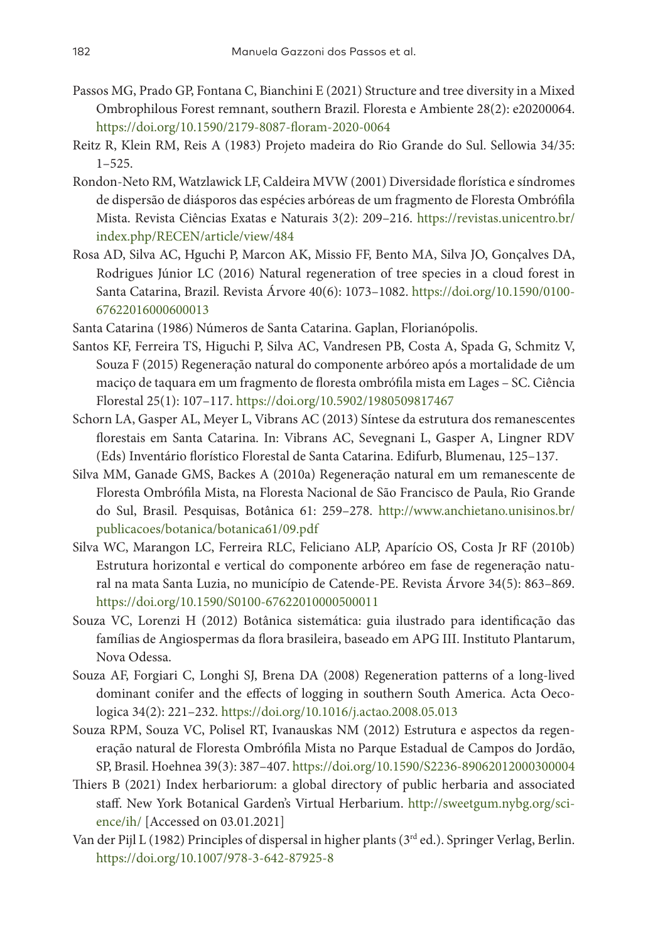- Passos MG, Prado GP, Fontana C, Bianchini E (2021) Structure and tree diversity in a Mixed Ombrophilous Forest remnant, southern Brazil. Floresta e Ambiente 28(2): e20200064. <https://doi.org/10.1590/2179-8087-floram-2020-0064>
- Reitz R, Klein RM, Reis A (1983) Projeto madeira do Rio Grande do Sul. Sellowia 34/35: 1–525.
- Rondon-Neto RM, Watzlawick LF, Caldeira MVW (2001) Diversidade florística e síndromes de dispersão de diásporos das espécies arbóreas de um fragmento de Floresta Ombrófila Mista. Revista Ciências Exatas e Naturais 3(2): 209–216. [https://revistas.unicentro.br/](https://revistas.unicentro.br/index.php/RECEN/article/view/484) [index.php/RECEN/article/view/484](https://revistas.unicentro.br/index.php/RECEN/article/view/484)
- Rosa AD, Silva AC, Hguchi P, Marcon AK, Missio FF, Bento MA, Silva JO, Gonçalves DA, Rodrigues Júnior LC (2016) Natural regeneration of tree species in a cloud forest in Santa Catarina, Brazil. Revista Árvore 40(6): 1073–1082. [https://doi.org/10.1590/0100-](https://doi.org/10.1590/0100-67622016000600013) [67622016000600013](https://doi.org/10.1590/0100-67622016000600013)
- Santa Catarina (1986) Números de Santa Catarina. Gaplan, Florianópolis.
- Santos KF, Ferreira TS, Higuchi P, Silva AC, Vandresen PB, Costa A, Spada G, Schmitz V, Souza F (2015) Regeneração natural do componente arbóreo após a mortalidade de um maciço de taquara em um fragmento de floresta ombrófila mista em Lages – SC. Ciência Florestal 25(1): 107–117.<https://doi.org/10.5902/1980509817467>
- Schorn LA, Gasper AL, Meyer L, Vibrans AC (2013) Síntese da estrutura dos remanescentes florestais em Santa Catarina. In: Vibrans AC, Sevegnani L, Gasper A, Lingner RDV (Eds) Inventário florístico Florestal de Santa Catarina. Edifurb, Blumenau, 125–137.
- Silva MM, Ganade GMS, Backes A (2010a) Regeneração natural em um remanescente de Floresta Ombrófila Mista, na Floresta Nacional de São Francisco de Paula, Rio Grande do Sul, Brasil. Pesquisas, Botânica 61: 259–278. [http://www.anchietano.unisinos.br/](http://www.anchietano.unisinos.br/publicacoes/botanica/botanica61/09.pdf) [publicacoes/botanica/botanica61/09.pdf](http://www.anchietano.unisinos.br/publicacoes/botanica/botanica61/09.pdf)
- Silva WC, Marangon LC, Ferreira RLC, Feliciano ALP, Aparício OS, Costa Jr RF (2010b) Estrutura horizontal e vertical do componente arbóreo em fase de regeneração natural na mata Santa Luzia, no município de Catende-PE. Revista Árvore 34(5): 863–869. <https://doi.org/10.1590/S0100-67622010000500011>
- Souza VC, Lorenzi H (2012) Botânica sistemática: guia ilustrado para identificação das famílias de Angiospermas da flora brasileira, baseado em APG III. Instituto Plantarum, Nova Odessa.
- Souza AF, Forgiari C, Longhi SJ, Brena DA (2008) Regeneration patterns of a long-lived dominant conifer and the effects of logging in southern South America. Acta Oecologica 34(2): 221–232. <https://doi.org/10.1016/j.actao.2008.05.013>
- Souza RPM, Souza VC, Polisel RT, Ivanauskas NM (2012) Estrutura e aspectos da regeneração natural de Floresta Ombrófila Mista no Parque Estadual de Campos do Jordão, SP, Brasil. Hoehnea 39(3): 387–407.<https://doi.org/10.1590/S2236-89062012000300004>
- Thiers B (2021) Index herbariorum: a global directory of public herbaria and associated staff. New York Botanical Garden's Virtual Herbarium. [http://sweetgum.nybg.org/sci](http://sweetgum.nybg.org/science/ih/)[ence/ih/](http://sweetgum.nybg.org/science/ih/) [Accessed on 03.01.2021]
- Van der Pijl L (1982) Principles of dispersal in higher plants (3rd ed.). Springer Verlag, Berlin. <https://doi.org/10.1007/978-3-642-87925-8>